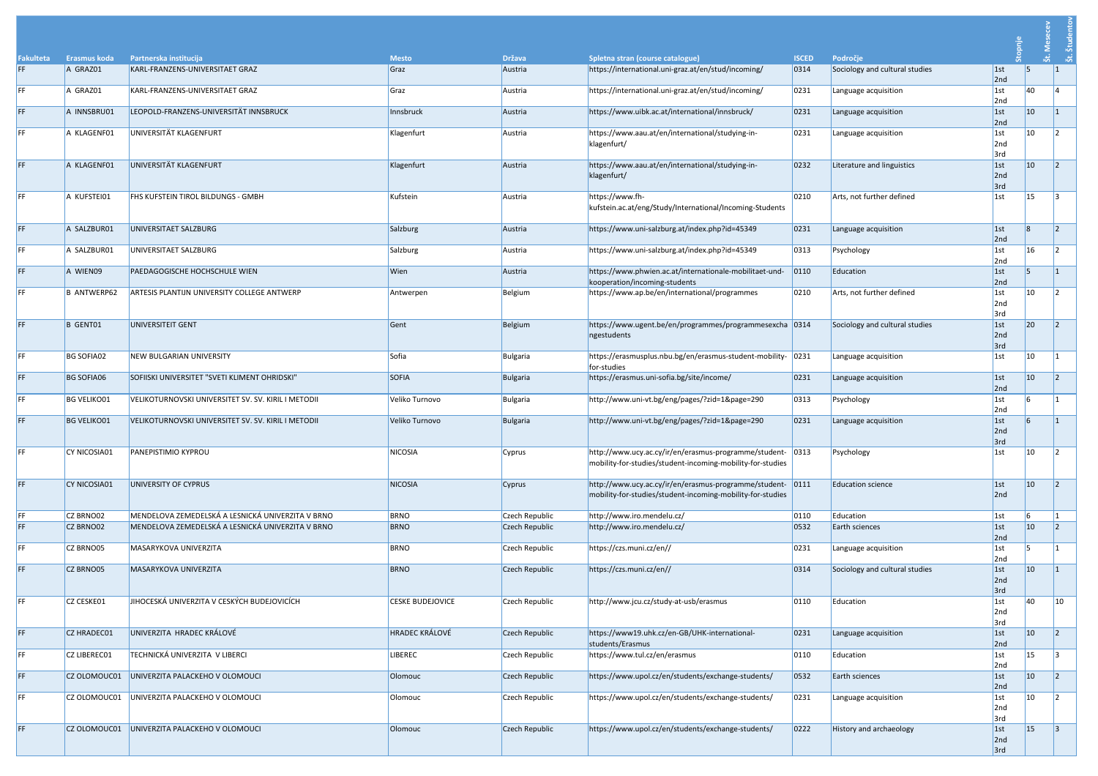| <b>Fakulteta</b> | <b>Erasmus koda</b> | Partnerska institucija                              | <b>Mesto</b>            | <b>Država</b>  | Spletna stran (course catalogue)                                                                                    | <b>ISCED</b>   | Področje                       |                           |              | <br>ನ        |
|------------------|---------------------|-----------------------------------------------------|-------------------------|----------------|---------------------------------------------------------------------------------------------------------------------|----------------|--------------------------------|---------------------------|--------------|--------------|
| FF.              | A GRAZ01            | KARL-FRANZENS-UNIVERSITAET GRAZ                     | Graz                    | Austria        | https://international.uni-graz.at/en/stud/incoming/                                                                 | 0314           | Sociology and cultural studies | 1st<br>2nd                |              | ್ಲಿ          |
| FF               | A GRAZ01            | KARL-FRANZENS-UNIVERSITAET GRAZ                     | Graz                    | Austria        | https://international.uni-graz.at/en/stud/incoming/                                                                 | 0231           | Language acquisition           | 1st<br>2nd                | 40           |              |
| FF.              | A INNSBRU01         | LEOPOLD-FRANZENS-UNIVERSITÄT INNSBRUCK              | Innsbruck               | Austria        | https://www.uibk.ac.at/international/innsbruck/                                                                     | 0231           | Language acquisition           | 1st<br>2nd                | $ 10\rangle$ |              |
| FF               | A KLAGENF01         | UNIVERSITÄT KLAGENFURT                              | Klagenfurt              | Austria        | https://www.aau.at/en/international/studying-in-<br>klagenfurt/                                                     | 0231           | Language acquisition           | 1st<br>2nd<br>3rd         | $ 10\rangle$ |              |
| FF.              | A KLAGENF01         | UNIVERSITÄT KLAGENFURT                              | Klagenfurt              | Austria        | https://www.aau.at/en/international/studying-in-<br>klagenfurt/                                                     | 0232           | Literature and linguistics     | 1st<br>2nd<br>3rd         | $ 10\rangle$ |              |
| FF               | A KUFSTEI01         | <b>FHS KUFSTEIN TIROL BILDUNGS - GMBH</b>           | Kufstein                | Austria        | https://www.fh-<br>kufstein.ac.at/eng/Study/International/Incoming-Students                                         | 0210           | Arts, not further defined      | 1st                       | 15           |              |
| FF.              | A SALZBUR01         | UNIVERSITAET SALZBURG                               | Salzburg                | Austria        | https://www.uni-salzburg.at/index.php?id=45349                                                                      | 0231           | Language acquisition           | 1st<br>2nd                | l8           |              |
| FF.              | A SALZBUR01         | UNIVERSITAET SALZBURG                               | Salzburg                | Austria        | https://www.uni-salzburg.at/index.php?id=45349                                                                      | 0313           | Psychology                     | $ 1$ st<br>2nd            | 16           |              |
| FF.              | A WIEN09            | <b>PAEDAGOGISCHE HOCHSCHULE WIEN</b>                | Wien                    | Austria        | https://www.phwien.ac.at/internationale-mobilitaet-und-<br>kooperation/incoming-students                            | 0110           | Education                      | 1st <br>2nd               |              |              |
| FF               | <b>B ANTWERP62</b>  | ARTESIS PLANTIJN UNIVERSITY COLLEGE ANTWERP         | Antwerpen               | Belgium        | https://www.ap.be/en/international/programmes                                                                       | 0210           | Arts, not further defined      | $ 1$ st<br>2nd<br>3rd     | $ 10\rangle$ |              |
| FF               | B GENT01            | UNIVERSITEIT GENT                                   | Gent                    | Belgium        | https://www.ugent.be/en/programmes/programmesexcha 0314<br>ngestudents                                              |                | Sociology and cultural studies | 1st <br>2nd<br>3rd        | 20           |              |
|                  | BG SOFIA02          | NEW BULGARIAN UNIVERSITY                            | Sofia                   | Bulgaria       | https://erasmusplus.nbu.bg/en/erasmus-student-mobility- 0231<br>for-studies                                         |                | Language acquisition           | $\vert$ 1st               | $ 10\rangle$ |              |
| FF.              | <b>BG SOFIA06</b>   | SOFIISKI UNIVERSITET "SVETI KLIMENT OHRIDSKI"       | <b>SOFIA</b>            | Bulgaria       | https://erasmus.uni-sofia.bg/site/income/                                                                           | 0231           | Language acquisition           | 1st <br>2nd               | $ 10\rangle$ |              |
| FF               | <b>BG VELIKO01</b>  | VELIKOTURNOVSKI UNIVERSITET SV. SV. KIRIL I METODII | Veliko Turnovo          | Bulgaria       | http://www.uni-vt.bg/eng/pages/?zid=1&page=290                                                                      | 0313           | Psychology                     | 1st<br>2nd                |              |              |
| FF.              | <b>BG VELIKO01</b>  | VELIKOTURNOVSKI UNIVERSITET SV. SV. KIRIL I METODII | Veliko Turnovo          | Bulgaria       | http://www.uni-vt.bg/eng/pages/?zid=1&page=290                                                                      | 0231           | Language acquisition           | 1st <br>2nd<br>3rd        |              |              |
| FF               | CY NICOSIA01        | <b>PANEPISTIMIO KYPROU</b>                          | <b>NICOSIA</b>          | Cyprus         | http://www.ucy.ac.cy/ir/en/erasmus-programme/student-<br>mobility-for-studies/student-incoming-mobility-for-studies | 0313           | Psychology                     | 1st                       | $ 10\rangle$ |              |
| FF.              | <b>CY NICOSIA01</b> | UNIVERSITY OF CYPRUS                                | <b>NICOSIA</b>          | Cyprus         | http://www.ucy.ac.cy/ir/en/erasmus-programme/student-<br>mobility-for-studies/student-incoming-mobility-for-studies | 0111           | <b>Education science</b>       | 1st <br>2nd               | $ 10\rangle$ |              |
| FF.<br>FF        | CZ BRNO02           | MENDELOVA ZEMEDELSKÁ A LESNICKÁ UNIVERZITA V BRNO   | <b>BRNO</b>             | Czech Republic | http://www.iro.mendelu.cz/                                                                                          | 0110           | Education                      | 1st                       |              |              |
|                  | CZ BRNO02           | MENDELOVA ZEMEDELSKÁ A LESNICKÁ UNIVERZITA V BRNO   | <b>BRNO</b>             | Czech Republic | http://www.iro.mendelu.cz/                                                                                          | 0532           | Earth sciences                 | 1st<br>2nd                | $ 10\rangle$ |              |
| FF               | CZ BRNO05           | MASARYKOVA UNIVERZITA                               | <b>BRNO</b>             | Czech Republic | https://czs.muni.cz/en//                                                                                            | 0231           | Language acquisition           | 1st<br>2nd                |              |              |
| FF.              | CZ BRNO05           | MASARYKOVA UNIVERZITA                               | <b>BRNO</b>             | Czech Republic | https://czs.muni.cz/en//                                                                                            | 0314           | Sociology and cultural studies | 1st <br>2nd<br>3rd        | $ 10\rangle$ |              |
| FF               | CZ CESKE01          | JIHOCESKÁ UNIVERZITA V CESKÝCH BUDEJOVICÍCH         | <b>CESKE BUDEJOVICE</b> | Czech Republic | http://www.jcu.cz/study-at-usb/erasmus                                                                              | 0110           | Education                      | $ 1$ st<br>2nd<br>3rd     | 40           | $ 10\rangle$ |
| FF.              | CZ HRADEC01         | UNIVERZITA HRADEC KRÁLOVÉ                           | <b>HRADEC KRÁLOVÉ</b>   | Czech Republic | https://www19.uhk.cz/en-GB/UHK-international-<br>students/Erasmus                                                   | 0231           | Language acquisition           | 1st <br>2nd               | $ 10\rangle$ |              |
| FF               | CZ LIBEREC01        | TECHNICKÁ UNIVERZITA V LIBERCI                      | <b>LIBEREC</b>          | Czech Republic | https://www.tul.cz/en/erasmus                                                                                       | 0110           | Education                      | 1st<br>2nd                | 15           |              |
| FF               | CZ OLOMOUC01        | UNIVERZITA PALACKEHO V OLOMOUCI                     | Olomouc                 | Czech Republic | https://www.upol.cz/en/students/exchange-students/                                                                  | 0532           | Earth sciences                 | 1st<br>2nd                | $ 10\rangle$ |              |
|                  |                     | CZ OLOMOUC01 UNIVERZITA PALACKEHO V OLOMOUCI        | Olomouc                 | Czech Republic | https://www.upol.cz/en/students/exchange-students/                                                                  | $ 0231\rangle$ | Language acquisition           | $\vert$ 1st<br>2nd<br>3rd | $ 10\rangle$ | $\mathsf{L}$ |
| FF.              | CZ OLOMOUC01        | UNIVERZITA PALACKEHO V OLOMOUCI                     | Olomouc                 | Czech Republic | https://www.upol.cz/en/students/exchange-students/                                                                  | 0222           | <b>History and archaeology</b> | 1st <br>2nd<br>3rd        | 15           | 3            |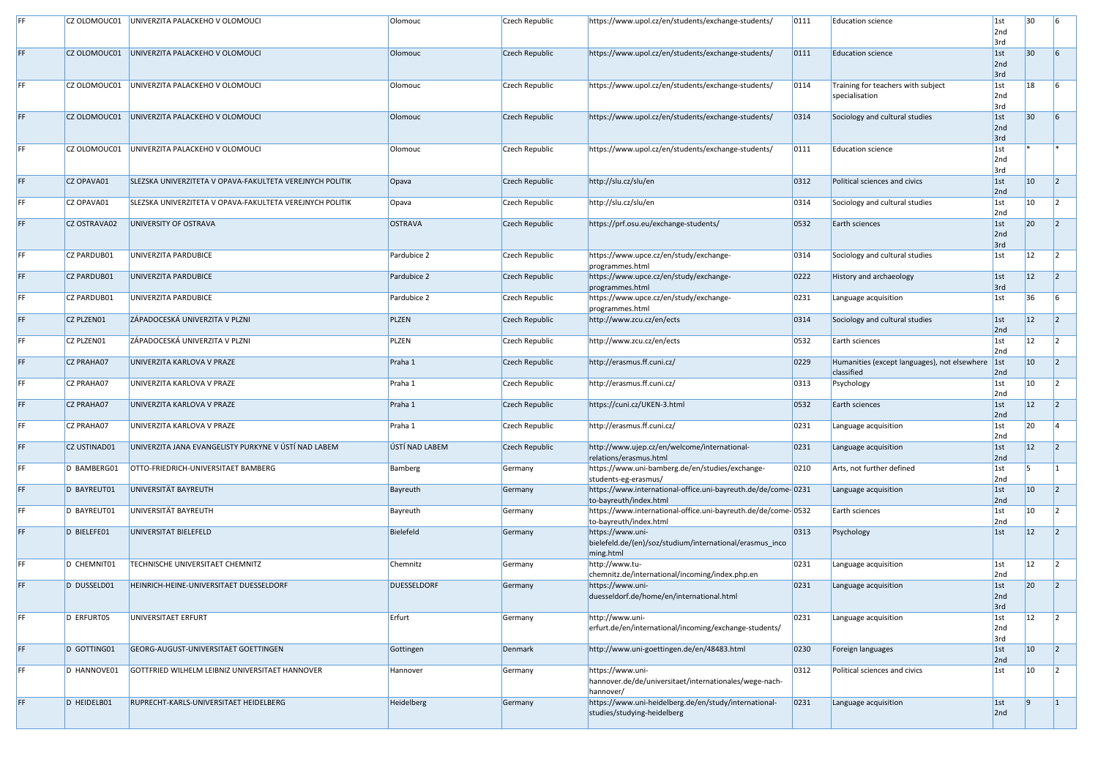|     | CZ OLOMOUC01      | UNIVERZITA PALACKEHO V OLOMOUCI                          | Olomouc            | Czech Republic | https://www.upol.cz/en/students/exchange-students/                                        | 0111 | <b>Education science</b>                                       | 1st<br>2nd                       | 30           |  |
|-----|-------------------|----------------------------------------------------------|--------------------|----------------|-------------------------------------------------------------------------------------------|------|----------------------------------------------------------------|----------------------------------|--------------|--|
|     | CZ OLOMOUC01      | UNIVERZITA PALACKEHO V OLOMOUCI                          | Olomouc            | Czech Republic | https://www.upol.cz/en/students/exchange-students/                                        | 0111 | Education science                                              | 3rd<br>1st<br>2nd                | 30           |  |
|     | CZ OLOMOUC01      | UNIVERZITA PALACKEHO V OLOMOUCI                          | Olomouc            | Czech Republic | https://www.upol.cz/en/students/exchange-students/                                        | 0114 | Training for teachers with subject<br>specialisation           | 3rd<br>$\vert$ 1st<br>2nd<br>3rd | 18           |  |
|     | CZ OLOMOUC01      | UNIVERZITA PALACKEHO V OLOMOUCI                          | Olomouc            | Czech Republic | https://www.upol.cz/en/students/exchange-students/                                        | 0314 | Sociology and cultural studies                                 | 1st<br>2nd<br>3rd                | 30           |  |
|     | CZ OLOMOUC01      | UNIVERZITA PALACKEHO V OLOMOUCI                          | Olomouc            | Czech Republic | https://www.upol.cz/en/students/exchange-students/                                        | 0111 | <b>Education science</b>                                       | 1st<br>2nd<br>3rd                |              |  |
|     | CZ OPAVA01        | SLEZSKA UNIVERZITETA V OPAVA-FAKULTETA VEREJNYCH POLITIK | Opava              | Czech Republic | http://slu.cz/slu/en                                                                      | 0312 | Political sciences and civics                                  | 1st<br>2nd                       | $ 10\rangle$ |  |
|     | CZ OPAVA01        | SLEZSKA UNIVERZITETA V OPAVA-FAKULTETA VEREJNYCH POLITIK | Opava              | Czech Republic | http://slu.cz/slu/en                                                                      | 0314 | Sociology and cultural studies                                 | $\vert$ 1st<br>2nd               | $ 10\rangle$ |  |
| EE. | CZ OSTRAVA02      | UNIVERSITY OF OSTRAVA                                    | <b>OSTRAVA</b>     | Czech Republic | https://prf.osu.eu/exchange-students/                                                     | 0532 | Earth sciences                                                 | 1st<br>2nd<br>3rd                | 20           |  |
|     | CZ PARDUB01       | UNIVERZITA PARDUBICE                                     | Pardubice 2        | Czech Republic | https://www.upce.cz/en/study/exchange-<br>programmes.html                                 | 0314 | Sociology and cultural studies                                 | 1st                              | <b>12</b>    |  |
|     | CZ PARDUB01       | UNIVERZITA PARDUBICE                                     | Pardubice 2        | Czech Republic | https://www.upce.cz/en/study/exchange-<br>programmes.html                                 | 0222 | History and archaeology                                        | 1st<br>3rd                       | 12           |  |
|     | CZ PARDUB01       | UNIVERZITA PARDUBICE                                     | Pardubice 2        | Czech Republic | https://www.upce.cz/en/study/exchange-<br>programmes.html                                 | 0231 | Language acquisition                                           | 1st                              | 36           |  |
|     | CZ PLZEN01        | ZÁPADOCESKÁ UNIVERZITA V PLZNI                           | PLZEN              | Czech Republic | http://www.zcu.cz/en/ects                                                                 | 0314 | Sociology and cultural studies                                 | 1st<br>2nd                       | $ 12\rangle$ |  |
|     | CZ PLZEN01        | ZÁPADOCESKÁ UNIVERZITA V PLZNI                           | <b>PLZEN</b>       | Czech Republic | http://www.zcu.cz/en/ects                                                                 | 0532 | Earth sciences                                                 | $\vert$ 1st<br>2nd               | 12           |  |
|     | <b>CZ PRAHA07</b> | UNIVERZITA KARLOVA V PRAZE                               | Praha 1            | Czech Republic | http://erasmus.ff.cuni.cz/                                                                | 0229 | Humanities (except languages), not elsewhere 1st<br>classified | 2nd                              | $ 10\rangle$ |  |
|     | CZ PRAHA07        | UNIVERZITA KARLOVA V PRAZE                               | Praha 1            | Czech Republic | http://erasmus.ff.cuni.cz/                                                                | 0313 | Psychology                                                     | 1st<br>2nd                       | $ 10\rangle$ |  |
|     | CZ PRAHA07        | UNIVERZITA KARLOVA V PRAZE                               | Praha 1            | Czech Republic | https://cuni.cz/UKEN-3.html                                                               | 0532 | Earth sciences                                                 | 1st<br>2nd                       | $ 12\rangle$ |  |
|     | CZ PRAHA07        | UNIVERZITA KARLOVA V PRAZE                               | Praha 1            | Czech Republic | http://erasmus.ff.cuni.cz/                                                                | 0231 | Language acquisition                                           | $\vert$ 1st<br>2nd               | 20           |  |
| FF  | CZ USTINAD01      | UNIVERZITA JANA EVANGELISTY PURKYNE V ÚSTÍ NAD LABEM     | ÚSTÍ NAD LABEM     | Czech Republic | http://www.ujep.cz/en/welcome/international-<br>relations/erasmus.html                    | 0231 | Language acquisition                                           | 1st<br>2nd                       | $ 12\rangle$ |  |
|     | D BAMBERG01       | OTTO-FRIEDRICH-UNIVERSITAET BAMBERG                      | Bamberg            | Germany        | https://www.uni-bamberg.de/en/studies/exchange-<br>students-eg-erasmus/                   | 0210 | Arts, not further defined                                      | $\vert$ 1st<br>2nd               |              |  |
|     | D BAYREUT01       | UNIVERSITÄT BAYREUTH                                     | Bayreuth           | Germany        | https://www.international-office.uni-bayreuth.de/de/come-0231<br>to-bayreuth/index.html   |      | Language acquisition                                           | 1st<br>2nd                       | $ 10\rangle$ |  |
|     | D BAYREUT01       | UNIVERSITÄT BAYREUTH                                     | Bayreuth           | Germany        | https://www.international-office.uni-bayreuth.de/de/come-0532<br>to-bayreuth/index.html   |      | Earth sciences                                                 | $\vert$ 1st<br>2nd               | $ 10\rangle$ |  |
|     | D BIELEFE01       | UNIVERSITAT BIELEFELD                                    | Bielefeld          | Germany        | https://www.uni-<br>bielefeld.de/(en)/soz/studium/international/erasmus_inco<br>ming.html | 0313 | Psychology                                                     | 1st                              | $ 12\rangle$ |  |
|     | D CHEMNIT01       | <b>TECHNISCHE UNIVERSITAET CHEMNITZ</b>                  | Chemnitz           | Germany        | http://www.tu-<br>chemnitz.de/international/incoming/index.php.en                         | 0231 | Language acquisition                                           | $\vert$ 1st<br>2nd               | <b>12</b>    |  |
|     | D DUSSELD01       | HEINRICH-HEINE-UNIVERSITAET DUESSELDORF                  | <b>DUESSELDORF</b> | Germany        | https://www.uni-<br>duesseldorf.de/home/en/international.html                             | 0231 | Language acquisition                                           | 1st<br>2nd<br>3rd                | 20           |  |
|     | D ERFURT05        | UNIVERSITAET ERFURT                                      | Erfurt             | Germany        | http://www.uni-<br>erfurt.de/en/international/incoming/exchange-students/                 | 0231 | Language acquisition                                           | $\vert$ 1st<br>2nd<br>3rd        | $ 12\rangle$ |  |
|     | D GOTTING01       | GEORG-AUGUST-UNIVERSITAET GOETTINGEN                     | Gottingen          | Denmark        | http://www.uni-goettingen.de/en/48483.html                                                | 0230 | Foreign languages                                              | 1st<br>2nd                       | $ 10\rangle$ |  |
|     | D HANNOVE01       | GOTTFRIED WILHELM LEIBNIZ UNIVERSITAET HANNOVER          | Hannover           | Germany        | https://www.uni-<br>hannover.de/de/universitaet/internationales/wege-nach-<br>hannover/   | 0312 | Political sciences and civics                                  | 1st                              | 10           |  |
|     | D HEIDELB01       | RUPRECHT-KARLS-UNIVERSITAET HEIDELBERG                   | <b>Heidelberg</b>  | Germany        | https://www.uni-heidelberg.de/en/study/international-<br>studies/studying-heidelberg      | 0231 | Language acquisition                                           | 1st <br>2nd                      |              |  |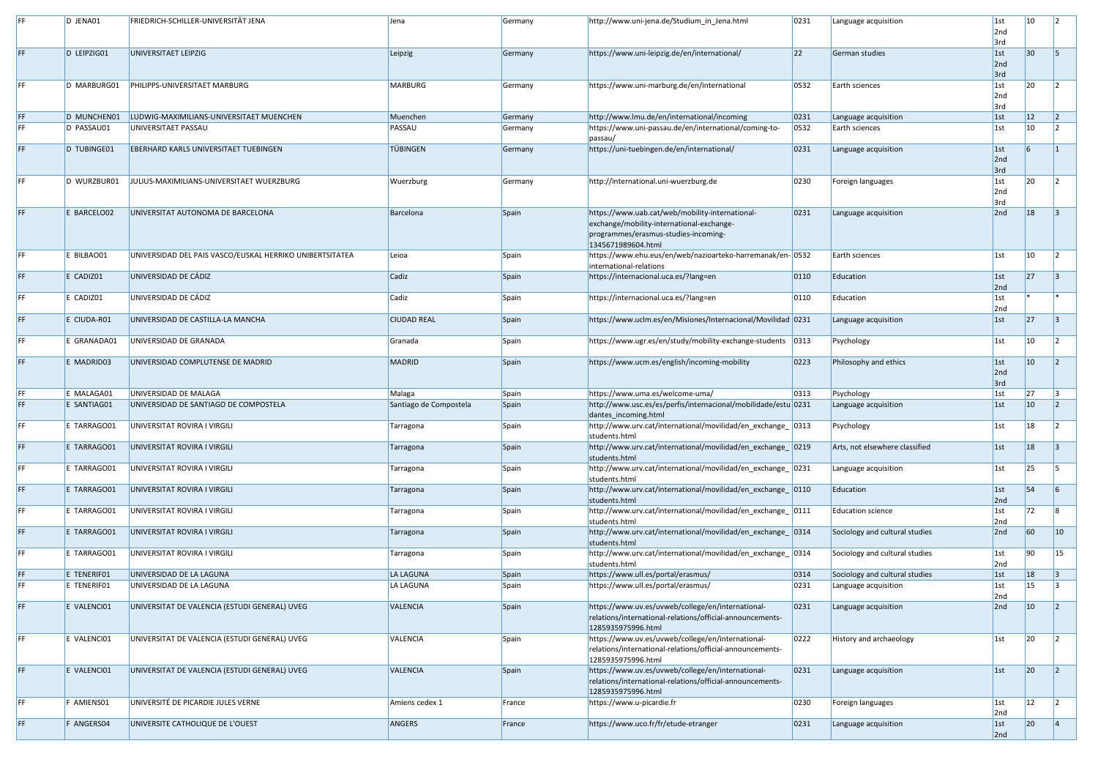|           | D JENA01                   | <b>FRIEDRICH-SCHILLER-UNIVERSITÄT JENA</b>                   | Jena                   | Germany        | http://www.uni-jena.de/Studium_in_Jena.html                                                                                                                | 0231         | Language acquisition                                             | $\vert$ 1st<br>2nd<br>3rd | $ 10\rangle$     |    |
|-----------|----------------------------|--------------------------------------------------------------|------------------------|----------------|------------------------------------------------------------------------------------------------------------------------------------------------------------|--------------|------------------------------------------------------------------|---------------------------|------------------|----|
| FF.       | D LEIPZIG01                | UNIVERSITAET LEIPZIG                                         | Leipzig                | Germany        | https://www.uni-leipzig.de/en/international/                                                                                                               | $ 22\rangle$ | German studies                                                   | 1st <br>2nd<br>3rd        | 30               |    |
| FF.       | D MARBURG01                | <b>PHILIPPS-UNIVERSITAET MARBURG</b>                         | <b>MARBURG</b>         | Germany        | https://www.uni-marburg.de/en/international                                                                                                                | 0532         | Earth sciences                                                   | $\vert$ 1st<br>2nd<br>3rd | <b>20</b>        |    |
| FF.       | D MUNCHENO <sub>2</sub>    | LUDWIG-MAXIMILIANS-UNIVERSITAET MUENCHEN                     | Muenchen               | Germany        | http://www.lmu.de/en/international/incoming                                                                                                                | 0231         | Language acquisition                                             | $\vert$ 1st               | 12               |    |
| FF        | D PASSAU01                 | UNIVERSITAET PASSAU                                          | PASSAU                 | Germany        | https://www.uni-passau.de/en/international/coming-to-<br>passau/                                                                                           | 0532         | Earth sciences                                                   | $\vert$ 1st               | $ 10\rangle$     |    |
| FF.       | D TUBINGE01                | <b>EBERHARD KARLS UNIVERSITAET TUEBINGEN</b>                 | <b>TÜBINGEN</b>        | Germany        | https://uni-tuebingen.de/en/international/                                                                                                                 | 0231         | Language acquisition                                             | $\vert$ 1st<br>2nd<br>3rd |                  |    |
| FF.       | D WURZBUR01                | JULIUS-MAXIMILIANS-UNIVERSITAET WUERZBURG                    | Wuerzburg              | Germany        | http://international.uni-wuerzburg.de                                                                                                                      | 0230         | Foreign languages                                                | $\vert$ 1st<br>2nd<br>3rd | 20               |    |
| FF.       | E BARCELO02                | UNIVERSITAT AUTONOMA DE BARCELONA                            | Barcelona              | Spain          | https://www.uab.cat/web/mobility-international-<br>exchange/mobility-international-exchange-<br>programmes/erasmus-studies-incoming-<br>1345671989604.html | 0231         | Language acquisition                                             | 2nd                       | 18               |    |
| FF        | E BILBAO01                 | UNIVERSIDAD DEL PAIS VASCO/EUSKAL HERRIKO UNIBERTSITATEA     | Leioa                  | Spain          | https://www.ehu.eus/en/web/nazioarteko-harremanak/en-0532<br>international-relations                                                                       |              | Earth sciences                                                   | $\vert$ 1st               | $ 10\rangle$     |    |
| FF.       | E CADIZ01                  | UNIVERSIDAD DE CÁDIZ                                         | Cadiz                  | Spain          | https://internacional.uca.es/?lang=en                                                                                                                      | 0110         | Education                                                        | $\vert$ 1st<br>2nd        | 27               |    |
| FF.       | $E$ CADIZ01                | UNIVERSIDAD DE CÁDIZ                                         | Cadiz                  | Spain          | https://internacional.uca.es/?lang=en                                                                                                                      | 0110         | Education                                                        | $\vert$ 1st<br>2nd        |                  |    |
| FF.       | E CIUDA-R01                | UNIVERSIDAD DE CASTILLA-LA MANCHA                            | <b>CIUDAD REAL</b>     | Spain          | https://www.uclm.es/en/Misiones/Internacional/Movilidad 0231                                                                                               |              | Language acquisition                                             | $\vert$ 1st               | $ 27\rangle$     |    |
| FF        | E GRANADA01                | UNIVERSIDAD DE GRANADA                                       | Granada                | Spain          | https://www.ugr.es/en/study/mobility-exchange-students                                                                                                     | 0313         | Psychology                                                       | $\vert$ 1st               | 10               |    |
| FF.       | E MADRID03                 | UNIVERSIDAD COMPLUTENSE DE MADRID                            | <b>MADRID</b>          | Spain          | https://www.ucm.es/english/incoming-mobility                                                                                                               | 0223         | Philosophy and ethics                                            | 1st <br>2nd<br>3rd        | $ 10\rangle$     |    |
| FF.       | E MALAGA01                 | UNIVERSIDAD DE MALAGA                                        | Malaga                 | Spain          | https://www.uma.es/welcome-uma/                                                                                                                            | 0313         | Psychology                                                       | $\vert$ 1st               | 27               |    |
| FF.       | E SANTIAG01                | UNIVERSIDAD DE SANTIAGO DE COMPOSTELA                        | Santiago de Compostela | Spain          | http://www.usc.es/es/perfis/internacional/mobilidade/estu 0231<br>dantes_incoming.html                                                                     |              | Language acquisition                                             | $\vert$ 1st               | $ 10\rangle$     |    |
| FF.       | E TARRAGO01                | UNIVERSITAT ROVIRA I VIRGILI                                 | Tarragona              | Spain          | http://www.urv.cat/international/movilidad/en_exchange_ 0313<br>students.html                                                                              |              | Psychology                                                       | $\vert$ 1st               | 18               |    |
| FF.       | E TARRAGO01                | UNIVERSITAT ROVIRA I VIRGILI                                 | Tarragona              | Spain          | http://www.urv.cat/international/movilidad/en exchange 0219<br>students.html                                                                               |              | Arts, not elsewhere classified                                   | $\vert$ 1st               | 18               |    |
| FF.       | E TARRAGO01                | UNIVERSITAT ROVIRA I VIRGILI                                 | Tarragona              | Spain          | http://www.urv.cat/international/movilidad/en_exchange_ 0231<br>students.html                                                                              |              | Language acquisition                                             | $\vert$ 1st               | 25               |    |
| FF.<br>FF | E TARRAGO01                | UNIVERSITAT ROVIRA I VIRGILI                                 | Tarragona              | Spain          | http://www.urv.cat/international/movilidad/en_exchange_ 0110<br>students.html                                                                              |              | Education                                                        | $\vert$ 1st<br>2nd        | $\vert$ 54<br>72 |    |
| FF.       | E TARRAGO01                | UNIVERSITAT ROVIRA I VIRGILI<br>UNIVERSITAT ROVIRA I VIRGILI | Tarragona              | Spain          | http://www.urv.cat/international/movilidad/en_exchange_ 0111<br>students.html<br>http://www.urv.cat/international/movilidad/en_exchange_ 0314              |              | <b>Education science</b>                                         | $\vert$ 1st<br>2nd<br>2nd | 60               | 10 |
| FF.       | E TARRAGO01<br>E TARRAGO01 | UNIVERSITAT ROVIRA I VIRGILI                                 | Tarragona              | Spain<br>Spain | students.html<br>http://www.urv.cat/international/movilidad/en_exchange_ 0314                                                                              |              | Sociology and cultural studies<br>Sociology and cultural studies | $\vert$ 1st               | $ 90\rangle$     | 15 |
| FF.       | E TENERIF01                | UNIVERSIDAD DE LA LAGUNA                                     | Tarragona<br>LA LAGUNA | Spain          | students.html<br>https://www.ull.es/portal/erasmus/                                                                                                        | 0314         | Sociology and cultural studies                                   | 2nd<br> 1st               | 18               |    |
| FF        | E TENERIFO1                | UNIVERSIDAD DE LA LAGUNA                                     | LA LAGUNA              | Spain          | https://www.ull.es/portal/erasmus/                                                                                                                         | 0231         | Language acquisition                                             | $\vert$ 1st               | 15               |    |
|           |                            | UNIVERSITAT DE VALENCIA (ESTUDI GENERAL) UVEG                |                        |                | https://www.uv.es/uvweb/college/en/international-                                                                                                          | 0231         |                                                                  | 2nd<br>2nd                |                  |    |
| FF.       | E VALENCI01                |                                                              | <b>VALENCIA</b>        | Spain          | relations/international-relations/official-announcements-<br>1285935975996.html                                                                            |              | Language acquisition                                             |                           | $ 10\rangle$     |    |
| FF.       | E VALENCI01                | UNIVERSITAT DE VALENCIA (ESTUDI GENERAL) UVEG                | <b>VALENCIA</b>        | Spain          | https://www.uv.es/uvweb/college/en/international-<br>relations/international-relations/official-announcements-<br>1285935975996.html                       | 0222         | History and archaeology                                          | $\vert$ 1st               | 20               |    |
| FF.       | E VALENCI01                | UNIVERSITAT DE VALENCIA (ESTUDI GENERAL) UVEG                | <b>VALENCIA</b>        | Spain          | https://www.uv.es/uvweb/college/en/international-<br>relations/international-relations/official-announcements-<br>1285935975996.html                       | 0231         | Language acquisition                                             | $\vert$ 1st               | $ 20\rangle$     |    |
| FF.       | F AMIENS01                 | UNIVERSITÉ DE PICARDIE JULES VERNE                           | Amiens cedex 1         | France         | https://www.u-picardie.fr                                                                                                                                  | 0230         | Foreign languages                                                | $\vert$ 1st<br>2nd        | $ 12\rangle$     |    |
| FF.       | F ANGERS04                 | UNIVERSITE CATHOLIQUE DE L'OUEST                             | ANGERS                 | France         | https://www.uco.fr/fr/etude-etranger                                                                                                                       | 0231         | Language acquisition                                             | $\vert$ 1st<br>2nd        | 20               |    |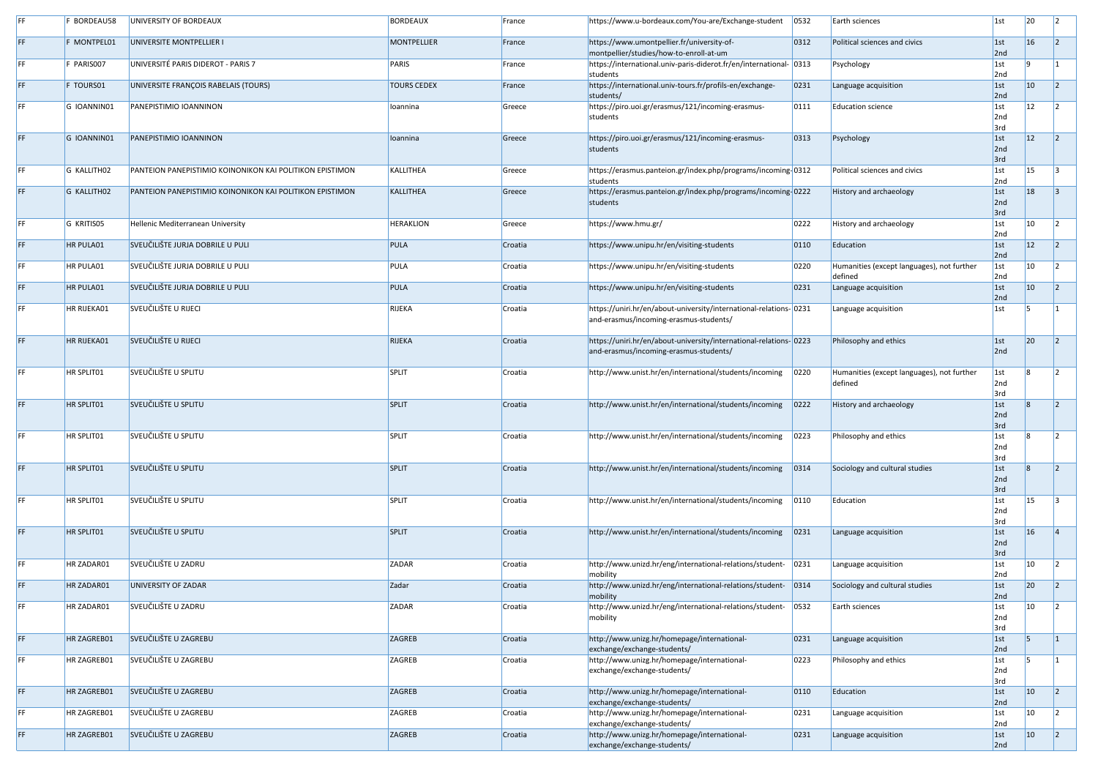|     | BORDEAU58   | UNIVERSITY OF BORDEAUX                                   | <b>BORDEAUX</b>    | France  | https://www.u-bordeaux.com/You-are/Exchange-student                                                          | 0532           | Earth sciences                                        | 1st                | 20              |         |
|-----|-------------|----------------------------------------------------------|--------------------|---------|--------------------------------------------------------------------------------------------------------------|----------------|-------------------------------------------------------|--------------------|-----------------|---------|
| FF  | F MONTPEL01 | UNIVERSITE MONTPELLIER I                                 | <b>MONTPELLIER</b> | France  | https://www.umontpellier.fr/university-of-<br>montpellier/studies/how-to-enroll-at-um                        | 0312           | Political sciences and civics                         | 1st<br>2nd         | 16              |         |
|     | F PARISO07  | UNIVERSITÉ PARIS DIDEROT - PARIS 7                       | PARIS              | France  | https://international.univ-paris-diderot.fr/en/international- 0313<br>students                               |                | Psychology                                            | $\vert$ 1st<br>2nd |                 |         |
| FF  | F TOURS01   | UNIVERSITE FRANÇOIS RABELAIS (TOURS)                     | <b>TOURS CEDEX</b> | France  | https://international.univ-tours.fr/profils-en/exchange-<br>students/                                        | 0231           | Language acquisition                                  | 1st<br>2nd         | $ 10\rangle$    |         |
|     | G IOANNIN01 | PANEPISTIMIO IOANNINON                                   | Ioannina           | Greece  | https://piro.uoi.gr/erasmus/121/incoming-erasmus-<br>students                                                | 0111           | <b>Education science</b>                              | 1st<br>2nd<br>3rd  | $ 12\rangle$    |         |
|     | G IOANNIN01 | <b>PANEPISTIMIO IOANNINON</b>                            | Ioannina           | Greece  | https://piro.uoi.gr/erasmus/121/incoming-erasmus-<br>students                                                | 0313           | Psychology                                            | 1st<br>2nd<br>3rd  | 12              |         |
|     | G KALLITH02 | PANTEION PANEPISTIMIO KOINONIKON KAI POLITIKON EPISTIMON | KALLITHEA          | Greece  | https://erasmus.panteion.gr/index.php/programs/incoming-0312<br>students                                     |                | Political sciences and civics                         | 1st<br>2nd         | 15              |         |
|     | G KALLITH02 | PANTEION PANEPISTIMIO KOINONIKON KAI POLITIKON EPISTIMON | <b>KALLITHEA</b>   | Greece  | https://erasmus.panteion.gr/index.php/programs/incoming-0222<br>students                                     |                | History and archaeology                               | 1st<br>2nd<br>3rd  | 18              |         |
|     | G KRITIS05  | Hellenic Mediterranean University                        | <b>HERAKLION</b>   | Greece  | https://www.hmu.gr/                                                                                          | 0222           | History and archaeology                               | 1st<br>2nd         | $ 10\rangle$    |         |
|     | HR PULA01   | SVEUČILIŠTE JURJA DOBRILE U PULI                         | PULA               | Croatia | https://www.unipu.hr/en/visiting-students                                                                    | $ 0110\rangle$ | Education                                             | 1st<br>2nd         | 12              |         |
|     | HR PULA01   | SVEUČILIŠTE JURJA DOBRILE U PULI                         | PULA               | Croatia | https://www.unipu.hr/en/visiting-students                                                                    | 0220           | Humanities (except languages), not further<br>defined | 1st<br>2nd         | 10              |         |
|     | HR PULA01   | SVEUČILIŠTE JURJA DOBRILE U PULI                         | PULA               | Croatia | https://www.unipu.hr/en/visiting-students                                                                    | 0231           | Language acquisition                                  | 1st<br>2nd         | 10              |         |
|     | HR RIJEKA01 | SVEUČILIŠTE U RIJECI                                     | <b>RIJEKA</b>      | Croatia | https://uniri.hr/en/about-university/international-relations- 0231<br>and-erasmus/incoming-erasmus-students/ |                | Language acquisition                                  | 1st                |                 |         |
|     | HR RIJEKA01 | SVEUČILIŠTE U RIJECI                                     | <b>RIJEKA</b>      | Croatia | https://uniri.hr/en/about-university/international-relations-0223<br>and-erasmus/incoming-erasmus-students/  |                | Philosophy and ethics                                 | 1st<br>2nd         | 20              |         |
|     | HR SPLIT01  | SVEUČILIŠTE U SPLITU                                     | <b>SPLIT</b>       | Croatia | http://www.unist.hr/en/international/students/incoming                                                       | 0220           | Humanities (except languages), not further<br>defined | 1st<br>2nd<br>3rd  |                 |         |
|     | HR SPLIT01  | SVEUČILIŠTE U SPLITU                                     | SPLIT              | Croatia | http://www.unist.hr/en/international/students/incoming                                                       | 0222           | History and archaeology                               | 1st<br>2nd<br>3rd  |                 |         |
|     | HR SPLIT01  | SVEUČILIŠTE U SPLITU                                     | SPLIT              | Croatia | http://www.unist.hr/en/international/students/incoming                                                       | 0223           | Philosophy and ethics                                 | 1st<br>2nd<br>3rd  |                 |         |
|     | HR SPLIT01  | SVEUČILIŠTE U SPLITU                                     | SPLIT              | Croatia | http://www.unist.hr/en/international/students/incoming                                                       | 0314           | Sociology and cultural studies                        | 1st<br>2nd<br>3rd  |                 |         |
|     | HR SPLIT01  | SVEUČILIŠTE U SPLITU                                     | SPLIT              | Croatia | http://www.unist.hr/en/international/students/incoming                                                       | $ 0110\rangle$ | Education                                             | 1st<br>2nd<br>3rd  | <b>15</b>       |         |
|     | HR SPLIT01  | SVEUČILIŠTE U SPLITU                                     | SPLIT              | Croatia | http://www.unist.hr/en/international/students/incoming                                                       | 0231           | Language acquisition                                  | 1st<br>2nd<br>3rd  | 16              |         |
|     | HR ZADAR01  | SVEUČILIŠTE U ZADRU                                      | <b>ZADAR</b>       | Croatia | http://www.unizd.hr/eng/international-relations/student-<br>mobility                                         | 0231           | Language acquisition                                  | 1st<br>2nd         | 10              |         |
|     | HR ZADAR01  | UNIVERSITY OF ZADAR                                      | Zadar              | Croatia | http://www.unizd.hr/eng/international-relations/student-<br>mobility                                         | 0314           | Sociology and cultural studies                        | 1st<br>2nd         | 20              |         |
|     | HR ZADAR01  | SVEUČILIŠTE U ZADRU                                      | ZADAR              | Croatia | http://www.unizd.hr/eng/international-relations/student-<br>mobility                                         | 0532           | Earth sciences                                        | 1st<br>2nd<br>3rd  | 10              |         |
|     | HR ZAGREB01 | SVEUČILIŠTE U ZAGREBU                                    | <b>ZAGREB</b>      | Croatia | http://www.unizg.hr/homepage/international-<br>exchange/exchange-students/                                   | 0231           | Language acquisition                                  | 1st<br>2nd         |                 |         |
|     | HR ZAGREB01 | SVEUČILIŠTE U ZAGREBU                                    | <b>ZAGREB</b>      | Croatia | http://www.unizg.hr/homepage/international-<br>exchange/exchange-students/                                   | 0223           | Philosophy and ethics                                 | 1st<br>2nd<br>3rd  |                 |         |
|     | HR ZAGREB01 | SVEUČILIŠTE U ZAGREBU                                    | ZAGREB             | Croatia | http://www.unizg.hr/homepage/international-<br>exchange/exchange-students/                                   | $ 0110\rangle$ | Education                                             | 1st <br>2nd        | 10 <sup>1</sup> | $\vert$ |
|     | HR ZAGREB01 | SVEUČILIŠTE U ZAGREBU                                    | <b>ZAGREB</b>      | Croatia | http://www.unizg.hr/homepage/international-<br>exchange/exchange-students/                                   | 0231           | Language acquisition                                  | $\vert$ 1st<br>2nd | 10              |         |
| FF. | HR ZAGREB01 | SVEUČILIŠTE U ZAGREBU                                    | <b>ZAGREB</b>      | Croatia | http://www.unizg.hr/homepage/international-<br>exchange/exchange-students/                                   | 0231           | Language acquisition                                  | 1st<br>2nd         | $ 10\rangle$    |         |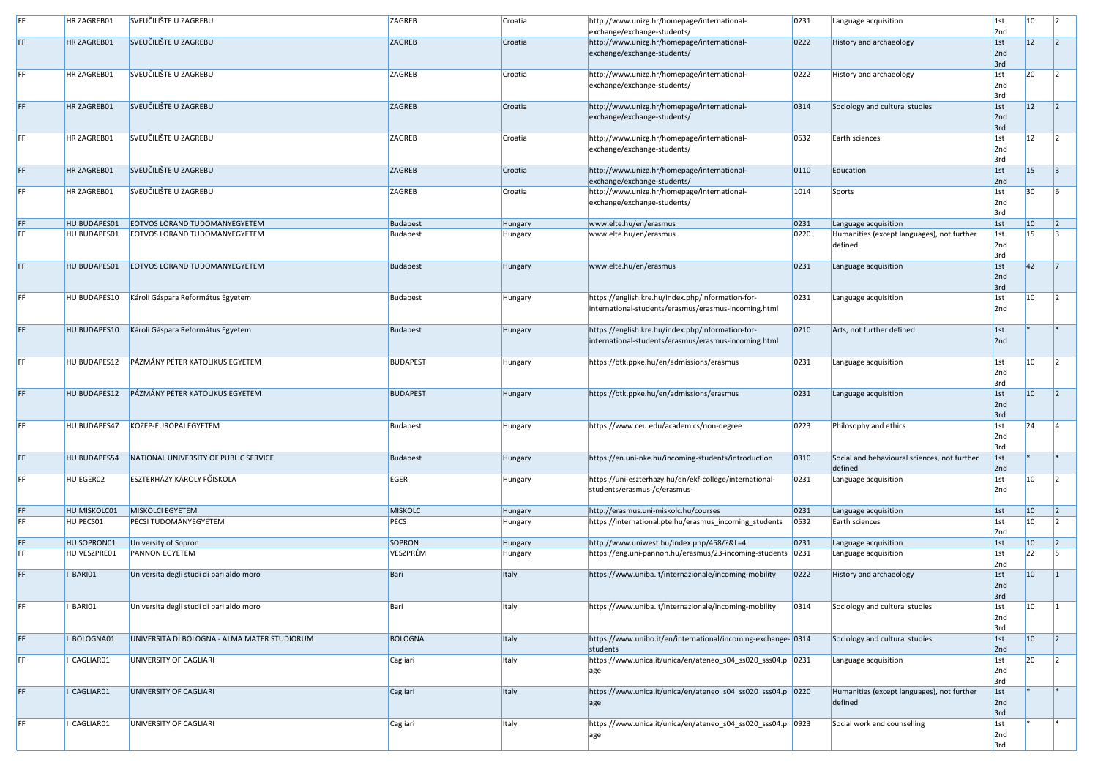| HR ZAGREB01  | SVEUČILIŠTE U ZAGREBU                        | ZAGREB          | Croatia        | http://www.unizg.hr/homepage/international-<br>exchange/exchange-students/                                | 0231           | Language acquisition                                    | $\vert$ 1st<br>2nd        | $ 10\rangle$ |  |
|--------------|----------------------------------------------|-----------------|----------------|-----------------------------------------------------------------------------------------------------------|----------------|---------------------------------------------------------|---------------------------|--------------|--|
| HR ZAGREB01  | SVEUČILIŠTE U ZAGREBU                        | <b>ZAGREB</b>   | Croatia        | http://www.unizg.hr/homepage/international-<br>exchange/exchange-students/                                | 0222           | History and archaeology                                 | 1st<br>2nd<br>3rd         | $ 12\rangle$ |  |
| HR ZAGREB01  | SVEUČILIŠTE U ZAGREBU                        | ZAGREB          | Croatia        | http://www.unizg.hr/homepage/international-<br>exchange/exchange-students/                                | 0222           | History and archaeology                                 | 1st<br>2nd<br>3rd         | 20           |  |
| HR ZAGREB01  | SVEUČILIŠTE U ZAGREBU                        | <b>ZAGREB</b>   | Croatia        | http://www.unizg.hr/homepage/international-<br>exchange/exchange-students/                                | 0314           | Sociology and cultural studies                          | 1st<br>2nd<br>3rd         | $ 12\rangle$ |  |
| HR ZAGREB01  | SVEUČILIŠTE U ZAGREBU                        | ZAGREB          | Croatia        | http://www.unizg.hr/homepage/international-<br>exchange/exchange-students/                                | 0532           | Earth sciences                                          | $\vert$ 1st<br>2nd<br>3rd | 12           |  |
| HR ZAGREB01  | SVEUČILIŠTE U ZAGREBU                        | ZAGREB          | Croatia        | http://www.unizg.hr/homepage/international-<br>exchange/exchange-students/                                | $ 0110\rangle$ | Education                                               | 1st<br>2nd                | $ 15\rangle$ |  |
| HR ZAGREB01  | SVEUČILIŠTE U ZAGREBU                        | ZAGREB          | Croatia        | http://www.unizg.hr/homepage/international-<br>exchange/exchange-students/                                | 1014           | Sports                                                  | 1st<br>2nd<br>3rd         | 30           |  |
| HU BUDAPES01 | EOTVOS LORAND TUDOMANYEGYETEM                | <b>Budapest</b> | Hungary        | www.elte.hu/en/erasmus                                                                                    | 0231           | Language acquisition                                    | 1st                       | $ 10\rangle$ |  |
| HU BUDAPES01 | <b>EOTVOS LORAND TUDOMANYEGYETEM</b>         | <b>Budapest</b> | <b>Hungary</b> | www.elte.hu/en/erasmus                                                                                    | 0220           | Humanities (except languages), not further<br>defined   | $\vert$ 1st<br>2nd        | 15           |  |
|              |                                              |                 |                |                                                                                                           |                |                                                         | 3rd                       |              |  |
| HU BUDAPES01 | EOTVOS LORAND TUDOMANYEGYETEM                | <b>Budapest</b> | <b>Hungary</b> | www.elte.hu/en/erasmus                                                                                    | 0231           | Language acquisition                                    | 1st<br>2nd<br>3rd         | $ 42\rangle$ |  |
| HU BUDAPES10 | Károli Gáspara Református Egyetem            | <b>Budapest</b> | Hungary        | https://english.kre.hu/index.php/information-for-<br>international-students/erasmus/erasmus-incoming.html | 0231           | Language acquisition                                    | 1st<br>2nd                | $ 10\rangle$ |  |
| HU BUDAPES10 | Károli Gáspara Református Egyetem            | <b>Budapest</b> | Hungary        | https://english.kre.hu/index.php/information-for-<br>international-students/erasmus/erasmus-incoming.html | 0210           | Arts, not further defined                               | 1st<br>2nd                |              |  |
| HU BUDAPES12 | PÁZMÁNY PÉTER KATOLIKUS EGYETEM              | <b>BUDAPEST</b> | Hungary        | https://btk.ppke.hu/en/admissions/erasmus                                                                 | 0231           | Language acquisition                                    | $\vert$ 1st<br>2nd<br>3rd | 10           |  |
| HU BUDAPES12 | PÁZMÁNY PÉTER KATOLIKUS EGYETEM              | <b>BUDAPEST</b> | Hungary        | https://btk.ppke.hu/en/admissions/erasmus                                                                 | 0231           | Language acquisition                                    | 1st<br>2nd<br>3rd         | $ 10\rangle$ |  |
| HU BUDAPES47 | KOZEP-EUROPAI EGYETEM                        | <b>Budapest</b> | Hungary        | https://www.ceu.edu/academics/non-degree                                                                  | 0223           | Philosophy and ethics                                   | 1st<br>2nd<br>3rd         | 24           |  |
| HU BUDAPES54 | NATIONAL UNIVERSITY OF PUBLIC SERVICE        | <b>Budapest</b> | Hungary        | https://en.uni-nke.hu/incoming-students/introduction                                                      | 0310           | Social and behavioural sciences, not further<br>defined | 1st<br>2nd                |              |  |
| HU EGER02    | <b>ESZTERHÁZY KÁROLY FŐISKOLA</b>            | <b>EGER</b>     | Hungary        | https://uni-eszterhazy.hu/en/ekf-college/international-<br>students/erasmus-/c/erasmus-                   | 0231           | Language acquisition                                    | $\vert$ 1st<br>2nd        | <b>10</b>    |  |
| HU MISKOLC01 | MISKOLCI EGYETEM                             | <b>MISKOLC</b>  | <b>Hungary</b> | http://erasmus.uni-miskolc.hu/courses                                                                     | 0231           | Language acquisition                                    | 1st                       | $ 10\rangle$ |  |
| HU PECS01    | PÉCSI TUDOMÁNYEGYETEM                        | PÉCS            | Hungary        | https://international.pte.hu/erasmus_incoming_students                                                    | 0532           | Earth sciences                                          | 1st<br>2nd                | $ 10\rangle$ |  |
| HU SOPRON01  | University of Sopron                         | <b>SOPRON</b>   | <b>Hungary</b> | http://www.uniwest.hu/index.php/458/?&L=4                                                                 | 0231           | Language acquisition                                    | 1st                       | $ 10\rangle$ |  |
| HU VESZPRE01 | <b>PANNON EGYETEM</b>                        | VESZPRÉM        | Hungary        | https://eng.uni-pannon.hu/erasmus/23-incoming-students                                                    | 0231           | Language acquisition                                    | 1st<br>2nd                | 22           |  |
| BARI01       | Universita degli studi di bari aldo moro     | Bari            | <b>Italy</b>   | https://www.uniba.it/internazionale/incoming-mobility                                                     | 0222           | History and archaeology                                 | 1st<br>2nd<br>3rd         | $ 10\rangle$ |  |
| BARI01       | Universita degli studi di bari aldo moro     | Bari            | <b>Italy</b>   | https://www.uniba.it/internazionale/incoming-mobility                                                     | 0314           | Sociology and cultural studies                          | $\vert$ 1st<br>2nd<br>3rd | $ 10\rangle$ |  |
| BOLOGNA01    | UNIVERSITÀ DI BOLOGNA - ALMA MATER STUDIORUM | <b>BOLOGNA</b>  | Italy          | https://www.unibo.it/en/international/incoming-exchange- 0314<br>students                                 |                | Sociology and cultural studies                          | 1st<br>2nd                | $ 10\rangle$ |  |
| CAGLIAR01    | UNIVERSITY OF CAGLIARI                       | Cagliari        | <b>Italy</b>   | https://www.unica.it/unica/en/ateneo_s04_ss020_sss04.p 0231<br>age                                        |                | Language acquisition                                    | 1st<br>2nd<br>3rd         | 20           |  |
| CAGLIAR01    | UNIVERSITY OF CAGLIARI                       | Cagliari        | <b>Italy</b>   | https://www.unica.it/unica/en/ateneo_s04_ss020_sss04.p   0220<br>age                                      |                | Humanities (except languages), not further<br>defined   | 1st<br>2nd<br>3rd         |              |  |
| CAGLIAR01    | UNIVERSITY OF CAGLIARI                       | Cagliari        | <b>Italy</b>   | https://www.unica.it/unica/en/ateneo_s04_ss020_sss04.p 0923<br>age                                        |                | Social work and counselling                             | 1st<br>2nd<br>3rd         |              |  |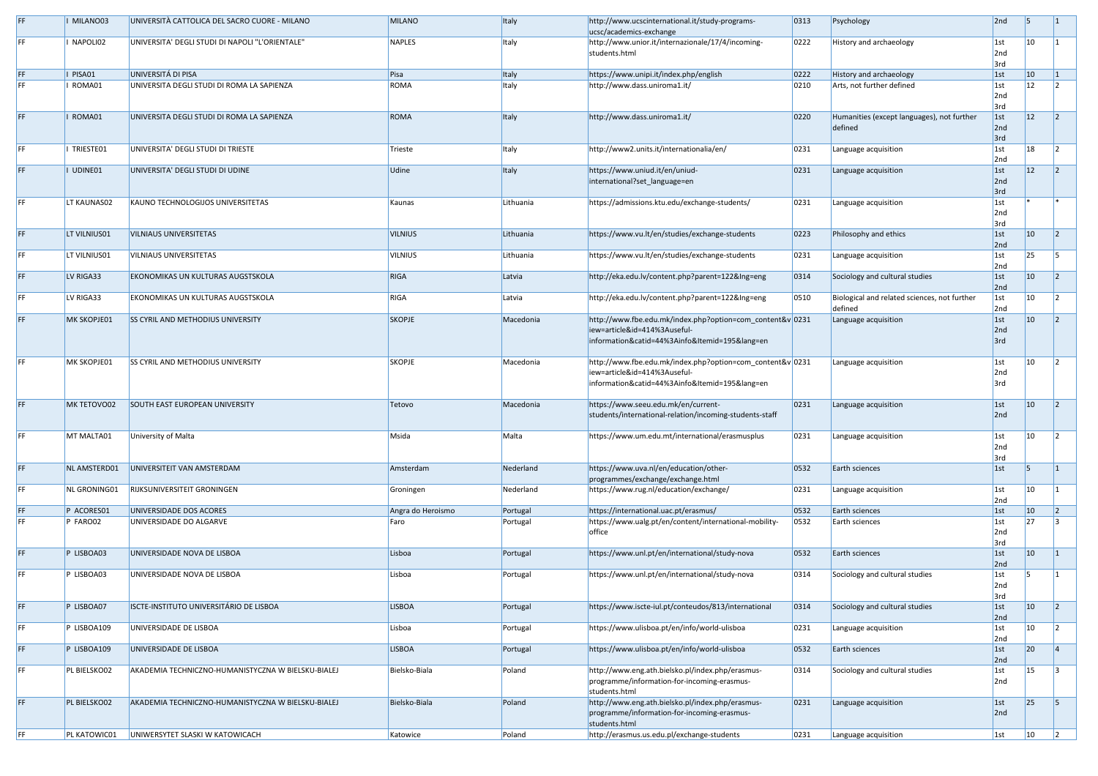| FF. | MILANO03     | UNIVERSITÀ CATTOLICA DEL SACRO CUORE - MILANO      | <b>MILANO</b>     | Italy     | http://www.ucscinternational.it/study-programs-<br>ucsc/academics-exchange                | 0313 | Psychology                                   | 2nd                | 15                  |  |
|-----|--------------|----------------------------------------------------|-------------------|-----------|-------------------------------------------------------------------------------------------|------|----------------------------------------------|--------------------|---------------------|--|
| FF. | NAPOLI02     | UNIVERSITA' DEGLI STUDI DI NAPOLI "L'ORIENTALE"    | <b>NAPLES</b>     | Italy     | http://www.unior.it/internazionale/17/4/incoming-                                         | 0222 | History and archaeology                      | $\vert$ 1st        | $ 10\rangle$        |  |
|     |              |                                                    |                   |           | students.html                                                                             |      |                                              | 2nd                |                     |  |
|     |              |                                                    |                   |           |                                                                                           |      |                                              | 3rd                |                     |  |
| FF. | PISA01       | UNIVERSITÁ DI PISA                                 | Pisa              | Italy     | https://www.unipi.it/index.php/english                                                    | 0222 | History and archaeology                      | $\vert$ 1st        | $ 10\rangle$        |  |
| FF. | ROMA01       | UNIVERSITA DEGLI STUDI DI ROMA LA SAPIENZA         | ROMA              | Italy     | http://www.dass.uniroma1.it/                                                              | 0210 | Arts, not further defined                    | $\vert$ 1st        | 12                  |  |
|     |              |                                                    |                   |           |                                                                                           |      |                                              | 2nd                |                     |  |
| FF. | ROMA01       | UNIVERSITA DEGLI STUDI DI ROMA LA SAPIENZA         | <b>ROMA</b>       | Italy     | http://www.dass.uniroma1.it/                                                              | 0220 | Humanities (except languages), not further   | 3rd<br>$\vert$ 1st | $ 12\rangle$        |  |
|     |              |                                                    |                   |           |                                                                                           |      | defined                                      | 2nd                |                     |  |
|     |              |                                                    |                   |           |                                                                                           |      |                                              | 3rd                |                     |  |
| FF. | TRIESTE01    | UNIVERSITA' DEGLI STUDI DI TRIESTE                 | Trieste           | Italy     | http://www2.units.it/internationalia/en/                                                  | 0231 | Language acquisition                         | $\vert$ 1st        | 18                  |  |
|     |              |                                                    |                   |           |                                                                                           |      |                                              | 2nd                |                     |  |
| FF. | I UDINE01    | UNIVERSITA' DEGLI STUDI DI UDINE                   | Udine             | Italy     | https://www.uniud.it/en/uniud-                                                            | 0231 | Language acquisition                         | 1st                | $ 12\rangle$        |  |
|     |              |                                                    |                   |           | international?set_language=en                                                             |      |                                              | 2nd                |                     |  |
|     |              |                                                    |                   |           |                                                                                           |      |                                              | 3rd                |                     |  |
| FF. | LT KAUNAS02  | KAUNO TECHNOLOGIJOS UNIVERSITETAS                  | Kaunas            | Lithuania | https://admissions.ktu.edu/exchange-students/                                             | 0231 | Language acquisition                         | $\vert$ 1st        |                     |  |
|     |              |                                                    |                   |           |                                                                                           |      |                                              | 2nd                |                     |  |
|     |              |                                                    |                   |           |                                                                                           |      |                                              | 3rd                |                     |  |
| FF. | LT VILNIUS01 | <b>VILNIAUS UNIVERSITETAS</b>                      | <b>VILNIUS</b>    | Lithuania | https://www.vu.lt/en/studies/exchange-students                                            | 0223 | Philosophy and ethics                        | $\vert$ 1st        | $ 10\rangle$        |  |
|     |              |                                                    |                   |           |                                                                                           |      |                                              | 2nd                |                     |  |
| FF. | LT VILNIUS01 | <b>VILNIAUS UNIVERSITETAS</b>                      | <b>VILNIUS</b>    | Lithuania | https://www.vu.lt/en/studies/exchange-students                                            | 0231 | Language acquisition                         | $\vert$ 1st        | 25                  |  |
|     |              |                                                    |                   |           |                                                                                           |      |                                              | 2nd                |                     |  |
| FF. | LV RIGA33    | <b>EKONOMIKAS UN KULTURAS AUGSTSKOLA</b>           | <b>RIGA</b>       | Latvia    | http://eka.edu.lv/content.php?parent=122&Ing=eng                                          | 0314 | Sociology and cultural studies               | $\vert$ 1st        | $ 10\rangle$        |  |
|     |              |                                                    |                   |           |                                                                                           |      |                                              | 2nd                |                     |  |
| FF. | LV RIGA33    | <b>EKONOMIKAS UN KULTURAS AUGSTSKOLA</b>           | <b>RIGA</b>       | Latvia    | http://eka.edu.lv/content.php?parent=122&Ing=eng                                          | 0510 | Biological and related sciences, not further | $\vert$ 1st        | 10                  |  |
|     |              | <b>SS CYRIL AND METHODIUS UNIVERSITY</b>           |                   |           |                                                                                           |      | defined                                      | 2nd                | $ 10\rangle$        |  |
| FF. | MK SKOPJE01  |                                                    | <b>SKOPJE</b>     | Macedonia | http://www.fbe.edu.mk/index.php?option=com_content&v 0231<br>iew=article&id=414%3Auseful- |      | Language acquisition                         | 1st <br>2nd        |                     |  |
|     |              |                                                    |                   |           | information&catid=44%3Ainfo&Itemid=195⟨=en                                                |      |                                              | 3rd                |                     |  |
|     |              |                                                    |                   |           |                                                                                           |      |                                              |                    |                     |  |
| FF. | MK SKOPJE01  | <b>SS CYRIL AND METHODIUS UNIVERSITY</b>           | <b>SKOPJE</b>     | Macedonia | http://www.fbe.edu.mk/index.php?option=com_content&v 0231                                 |      | Language acquisition                         | $\vert$ 1st        | $ 10\rangle$        |  |
|     |              |                                                    |                   |           | iew=article&id=414%3Auseful-                                                              |      |                                              | 2nd                |                     |  |
|     |              |                                                    |                   |           | information&catid=44%3Ainfo&Itemid=195⟨=en                                                |      |                                              | 3rd                |                     |  |
|     |              |                                                    |                   |           |                                                                                           |      |                                              |                    |                     |  |
| FF. | MK TETOVO02  | <b>SOUTH EAST EUROPEAN UNIVERSITY</b>              | Tetovo            | Macedonia | https://www.seeu.edu.mk/en/current-                                                       | 0231 | Language acquisition                         | $\vert$ 1st        | $ 10\rangle$        |  |
|     |              |                                                    |                   |           | students/international-relation/incoming-students-staff                                   |      |                                              | 2nd                |                     |  |
|     |              |                                                    |                   |           |                                                                                           |      |                                              |                    |                     |  |
| FF. | MT MALTA01   | University of Malta                                | Msida             | Malta     | https://www.um.edu.mt/international/erasmusplus                                           | 0231 | Language acquisition                         | $\vert$ 1st        | <b>10</b>           |  |
|     |              |                                                    |                   |           |                                                                                           |      |                                              | 2nd                |                     |  |
|     |              |                                                    |                   |           |                                                                                           |      |                                              | 3rd                |                     |  |
| FF. | NL AMSTERD01 | UNIVERSITEIT VAN AMSTERDAM                         | Amsterdam         | Nederland | https://www.uva.nl/en/education/other-                                                    | 0532 | Earth sciences                               | $\vert$ 1st        |                     |  |
|     |              |                                                    |                   |           | programmes/exchange/exchange.html                                                         |      |                                              |                    |                     |  |
| FF. | NL GRONING01 | <b>RIJKSUNIVERSITEIT GRONINGEN</b>                 | Groningen         | Nederland | https://www.rug.nl/education/exchange/                                                    | 0231 | Language acquisition                         | $\vert$ 1st        | $ 10\rangle$        |  |
|     |              |                                                    |                   |           |                                                                                           |      |                                              | 2nd                |                     |  |
| FF. | P ACORES01   | UNIVERSIDADE DOS ACORES                            | Angra do Heroismo | Portugal  | https://international.uac.pt/erasmus/                                                     | 0532 | Earth sciences                               | $\vert$ 1st        | $ 10\rangle$<br> 27 |  |
| FF. | P FARO02     | UNIVERSIDADE DO ALGARVE                            | Faro              | Portugal  | https://www.ualg.pt/en/content/international-mobility-<br>office                          | 0532 | Earth sciences                               | $\vert$ 1st<br>2nd |                     |  |
|     |              |                                                    |                   |           |                                                                                           |      |                                              | 3rd                |                     |  |
| FF. | P LISBOA03   | UNIVERSIDADE NOVA DE LISBOA                        | Lisboa            | Portugal  | https://www.unl.pt/en/international/study-nova                                            | 0532 | Earth sciences                               | $\vert$ 1st        | $ 10\rangle$        |  |
|     |              |                                                    |                   |           |                                                                                           |      |                                              | 2nd                |                     |  |
| FF. | P LISBOA03   | UNIVERSIDADE NOVA DE LISBOA                        | Lisboa            | Portugal  | https://www.unl.pt/en/international/study-nova                                            | 0314 | Sociology and cultural studies               | $\vert$ 1st        |                     |  |
|     |              |                                                    |                   |           |                                                                                           |      |                                              | 2nd                |                     |  |
|     |              |                                                    |                   |           |                                                                                           |      |                                              | 3rd                |                     |  |
| FF. | P LISBOA07   | ISCTE-INSTITUTO UNIVERSITÁRIO DE LISBOA            | <b>LISBOA</b>     | Portugal  | https://www.iscte-iul.pt/conteudos/813/international                                      | 0314 | Sociology and cultural studies               | $\vert$ 1st        | $ 10\rangle$        |  |
|     |              |                                                    |                   |           |                                                                                           |      |                                              | 2nd                |                     |  |
| FF. | P LISBOA109  | UNIVERSIDADE DE LISBOA                             | Lisboa            | Portugal  | https://www.ulisboa.pt/en/info/world-ulisboa                                              | 0231 | Language acquisition                         | $\vert$ 1st        | $ 10\rangle$        |  |
|     |              |                                                    |                   |           |                                                                                           |      |                                              | 2nd                |                     |  |
| FF. | P LISBOA109  | UNIVERSIDADE DE LISBOA                             | <b>LISBOA</b>     | Portugal  | https://www.ulisboa.pt/en/info/world-ulisboa                                              | 0532 | Earth sciences                               | 1st                | 20                  |  |
|     |              |                                                    |                   |           |                                                                                           |      |                                              | 2nd                |                     |  |
| FF. | PL BIELSKO02 | AKADEMIA TECHNICZNO-HUMANISTYCZNA W BIELSKU-BIALEJ | Bielsko-Biala     | Poland    | http://www.eng.ath.bielsko.pl/index.php/erasmus-                                          | 0314 | Sociology and cultural studies               | $\vert$ 1st        | 15                  |  |
|     |              |                                                    |                   |           | programme/information-for-incoming-erasmus-                                               |      |                                              | 2nd                |                     |  |
|     |              |                                                    |                   |           | students.html                                                                             |      |                                              |                    |                     |  |
| FF. | PL BIELSKO02 | AKADEMIA TECHNICZNO-HUMANISTYCZNA W BIELSKU-BIALEJ | Bielsko-Biala     | Poland    | http://www.eng.ath.bielsko.pl/index.php/erasmus-                                          | 0231 | Language acquisition                         | 1st                | 25                  |  |
|     |              |                                                    |                   |           | programme/information-for-incoming-erasmus-                                               |      |                                              | 2nd                |                     |  |
|     |              |                                                    |                   |           | students.html                                                                             |      |                                              |                    |                     |  |
| FF. | PL KATOWIC01 | UNIWERSYTET SLASKI W KATOWICACH                    | Katowice          | Poland    | http://erasmus.us.edu.pl/exchange-students                                                | 0231 | Language acquisition                         | $\vert$ 1st        | $ 10\rangle$        |  |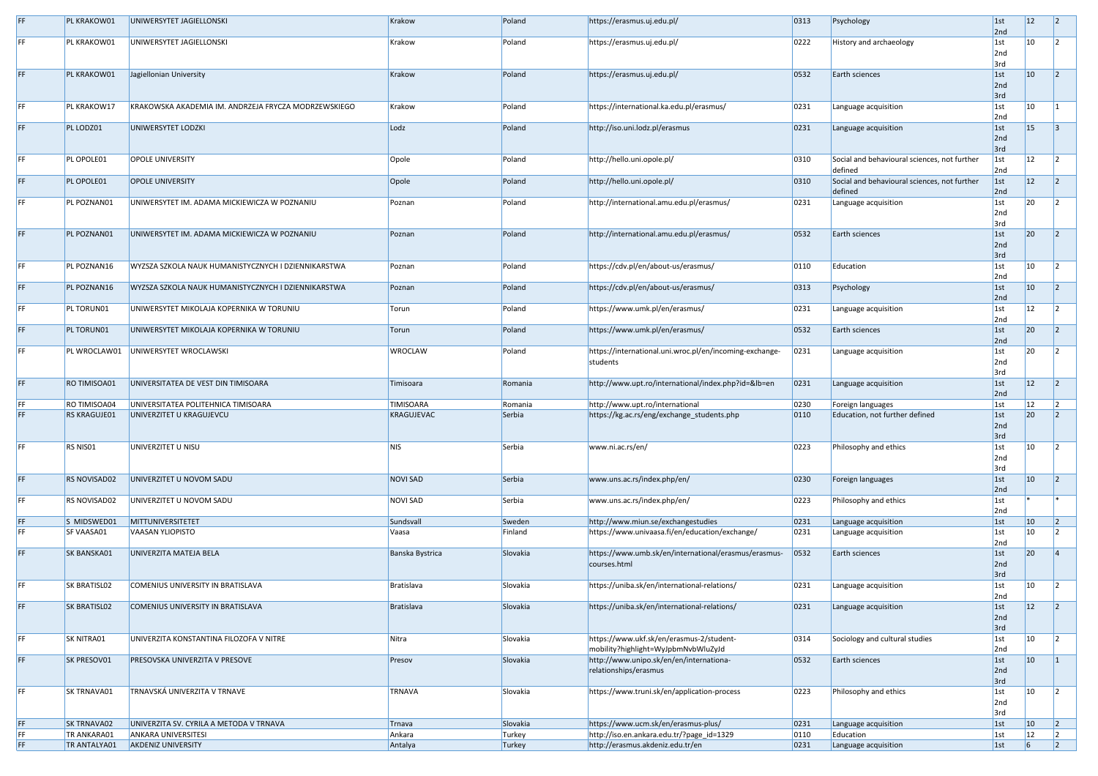| PL KRAKOW01         | UNIWERSYTET JAGIELLONSKI                             | <b>Krakow</b>     | Poland   | https://erasmus.uj.edu.pl/                              | 0313           | Psychology                                   | 1st<br>2nd  | $ 12\rangle$  |  |
|---------------------|------------------------------------------------------|-------------------|----------|---------------------------------------------------------|----------------|----------------------------------------------|-------------|---------------|--|
| PL KRAKOW01         | UNIWERSYTET JAGIELLONSKI                             | Krakow            | Poland   | https://erasmus.uj.edu.pl/                              | 0222           | History and archaeology                      | 1st         | $ 10\rangle$  |  |
|                     |                                                      |                   |          |                                                         |                |                                              | 2nd         |               |  |
|                     |                                                      |                   |          |                                                         |                |                                              | 3rd         |               |  |
|                     |                                                      |                   |          |                                                         |                |                                              |             |               |  |
| PL KRAKOW01         | Jagiellonian University                              | <b>Krakow</b>     | Poland   | https://erasmus.uj.edu.pl/                              | 0532           | Earth sciences                               | 1st         | $ 10\rangle$  |  |
|                     |                                                      |                   |          |                                                         |                |                                              | 2nd         |               |  |
|                     |                                                      |                   |          |                                                         |                |                                              | 3rd         |               |  |
| PL KRAKOW17         | KRAKOWSKA AKADEMIA IM. ANDRZEJA FRYCZA MODRZEWSKIEGO | Krakow            | Poland   | https://international.ka.edu.pl/erasmus/                | 0231           | Language acquisition                         | 1st         | $ 10\rangle$  |  |
|                     |                                                      |                   |          |                                                         |                |                                              | 2nd         |               |  |
| PL LODZ01           | UNIWERSYTET LODZKI                                   | Lodz              | Poland   | http://iso.uni.lodz.pl/erasmus                          | 0231           | Language acquisition                         | 1st         | <sup>15</sup> |  |
|                     |                                                      |                   |          |                                                         |                |                                              | 2nd         |               |  |
|                     |                                                      |                   |          |                                                         |                |                                              | 3rd         |               |  |
| PL OPOLE01          | <b>OPOLE UNIVERSITY</b>                              | Opole             | Poland   | http://hello.uni.opole.pl/                              | 0310           | Social and behavioural sciences, not further | 1st         | $ 12\rangle$  |  |
|                     |                                                      |                   |          |                                                         |                | defined                                      | 2nd         |               |  |
| PL OPOLE01          | <b>OPOLE UNIVERSITY</b>                              |                   | Poland   |                                                         | 0310           | Social and behavioural sciences, not further |             | 12            |  |
|                     |                                                      | Opole             |          | http://hello.uni.opole.pl/                              |                |                                              | 1st         |               |  |
|                     |                                                      |                   |          |                                                         |                | defined                                      | 2nd         |               |  |
| PL POZNAN01         | UNIWERSYTET IM. ADAMA MICKIEWICZA W POZNANIU         | Poznan            | Poland   | http://international.amu.edu.pl/erasmus/                | 0231           | Language acquisition                         | 1st         | 20            |  |
|                     |                                                      |                   |          |                                                         |                |                                              | 2nd         |               |  |
|                     |                                                      |                   |          |                                                         |                |                                              | 3rd         |               |  |
| PL POZNAN01         | UNIWERSYTET IM. ADAMA MICKIEWICZA W POZNANIU         | Poznan            | Poland   | http://international.amu.edu.pl/erasmus/                | 0532           | Earth sciences                               | 1st         | 20            |  |
|                     |                                                      |                   |          |                                                         |                |                                              | 2nd         |               |  |
|                     |                                                      |                   |          |                                                         |                |                                              | 3rd         |               |  |
| PL POZNAN16         | WYZSZA SZKOLA NAUK HUMANISTYCZNYCH I DZIENNIKARSTWA  | Poznan            | Poland   | https://cdv.pl/en/about-us/erasmus/                     | 0110           | Education                                    | 1st         | $ 10\rangle$  |  |
|                     |                                                      |                   |          |                                                         |                |                                              | 2nd         |               |  |
| PL POZNAN16         | WYZSZA SZKOLA NAUK HUMANISTYCZNYCH I DZIENNIKARSTWA  | Poznan            | Poland   | https://cdv.pl/en/about-us/erasmus/                     | 0313           | Psychology                                   | 1st         | $ 10\rangle$  |  |
|                     |                                                      |                   |          |                                                         |                |                                              | 2nd         |               |  |
| PL TORUN01          | UNIWERSYTET MIKOLAJA KOPERNIKA W TORUNIU             | Torun             | Poland   | https://www.umk.pl/en/erasmus/                          | 0231           | Language acquisition                         | 1st         | <b>12</b>     |  |
|                     |                                                      |                   |          |                                                         |                |                                              | 2nd         |               |  |
|                     |                                                      |                   |          |                                                         |                |                                              |             |               |  |
| PL TORUN01          | UNIWERSYTET MIKOLAJA KOPERNIKA W TORUNIU             | Torun             | Poland   | https://www.umk.pl/en/erasmus/                          | 0532           | Earth sciences                               | 1st         | 20            |  |
|                     |                                                      |                   |          |                                                         |                |                                              | 2nd         |               |  |
|                     | PL WROCLAW01   UNIWERSYTET WROCLAWSKI                | <b>WROCLAW</b>    | Poland   | https://international.uni.wroc.pl/en/incoming-exchange- | 0231           | Language acquisition                         | $\vert$ 1st | <b>20</b>     |  |
|                     |                                                      |                   |          | students                                                |                |                                              | 2nd         |               |  |
|                     |                                                      |                   |          |                                                         |                |                                              | 3rd         |               |  |
| <b>RO TIMISOA01</b> | UNIVERSITATEA DE VEST DIN TIMISOARA                  | Timisoara         | Romania  | http://www.upt.ro/international/index.php?id=&lb=en     | 0231           | Language acquisition                         | 1st         | $ 12\rangle$  |  |
|                     |                                                      |                   |          |                                                         |                |                                              | 2nd         |               |  |
| <b>RO TIMISOA04</b> | UNIVERSITATEA POLITEHNICA TIMISOARA                  | <b>TIMISOARA</b>  | Romania  | http://www.upt.ro/international                         | 0230           | Foreign languages                            | 1st         | <b>12</b>     |  |
| <b>RS KRAGUJE01</b> | UNIVERZITET U KRAGUJEVCU                             | <b>KRAGUJEVAC</b> | Serbia   | https://kg.ac.rs/eng/exchange_students.php              | 0110           | Education, not further defined               | 1st         | 20            |  |
|                     |                                                      |                   |          |                                                         |                |                                              | 2nd         |               |  |
|                     |                                                      |                   |          |                                                         |                |                                              | 3rd         |               |  |
|                     |                                                      |                   |          |                                                         |                |                                              |             |               |  |
| RS NISO1            | UNIVERZITET U NISU                                   | <b>NIS</b>        | Serbia   | www.ni.ac.rs/en/                                        | 0223           | Philosophy and ethics                        | 1st         | $ 10\rangle$  |  |
|                     |                                                      |                   |          |                                                         |                |                                              | 2nd         |               |  |
|                     |                                                      |                   |          |                                                         |                |                                              | 3rd         |               |  |
| <b>RS NOVISAD02</b> | UNIVERZITET U NOVOM SADU                             | <b>NOVI SAD</b>   | Serbia   | www.uns.ac.rs/index.php/en/                             | 0230           | Foreign languages                            | 1st         | $ 10\rangle$  |  |
|                     |                                                      |                   |          |                                                         |                |                                              | 2nd         |               |  |
| RS NOVISAD02        | UNIVERZITET U NOVOM SADU                             | <b>NOVI SAD</b>   | Serbia   | www.uns.ac.rs/index.php/en/                             | 0223           | Philosophy and ethics                        | 1st         |               |  |
|                     |                                                      |                   |          |                                                         |                |                                              | 2nd         |               |  |
| S MIDSWED01         | MITTUNIVERSITETET                                    | Sundsvall         | Sweden   | http://www.miun.se/exchangestudies                      | 0231           | Language acquisition                         | 1st         | $ 10\rangle$  |  |
| SF VAASA01          | <b>VAASAN YLIOPISTO</b>                              | Vaasa             | Finland  | https://www.univaasa.fi/en/education/exchange/          | 0231           | Language acquisition                         | 1st         | 10            |  |
|                     |                                                      |                   |          |                                                         |                |                                              | 2nd         |               |  |
| <b>SK BANSKA01</b>  | UNIVERZITA MATEJA BELA                               | Banska Bystrica   | Slovakia | https://www.umb.sk/en/international/erasmus/erasmus-    | 0532           | Earth sciences                               | 1st         | 20            |  |
|                     |                                                      |                   |          | courses.html                                            |                |                                              | 2nd         |               |  |
|                     |                                                      |                   |          |                                                         |                |                                              |             |               |  |
|                     |                                                      |                   |          |                                                         |                |                                              | 3rd         |               |  |
| <b>SK BRATISLO2</b> | COMENIUS UNIVERSITY IN BRATISLAVA                    | Bratislava        | Slovakia | https://uniba.sk/en/international-relations/            | 0231           | Language acquisition                         | 1st         | $ 10\rangle$  |  |
|                     |                                                      |                   |          |                                                         |                |                                              | 2nd         |               |  |
| <b>SK BRATISLO2</b> | COMENIUS UNIVERSITY IN BRATISLAVA                    | Bratislava        | Slovakia | https://uniba.sk/en/international-relations/            | 0231           | Language acquisition                         | 1st         | 12            |  |
|                     |                                                      |                   |          |                                                         |                |                                              | 2nd         |               |  |
|                     |                                                      |                   |          |                                                         |                |                                              | 3rd         |               |  |
| <b>SK NITRA01</b>   | UNIVERZITA KONSTANTINA FILOZOFA V NITRE              | Nitra             | Slovakia | https://www.ukf.sk/en/erasmus-2/student-                | 0314           | Sociology and cultural studies               | $\vert$ 1st | $ 10\rangle$  |  |
|                     |                                                      |                   |          | mobility?highlight=WyJpbmNvbWluZyJd                     |                |                                              | 2nd         |               |  |
| SK PRESOV01         | <b>PRESOVSKA UNIVERZITA V PRESOVE</b>                | Presov            | Slovakia | http://www.unipo.sk/en/en/internationa-                 | 0532           | Earth sciences                               | 1st         | $ 10\rangle$  |  |
|                     |                                                      |                   |          | relationships/erasmus                                   |                |                                              | 2nd         |               |  |
|                     |                                                      |                   |          |                                                         |                |                                              | 3rd         |               |  |
|                     |                                                      |                   |          |                                                         |                |                                              |             | $ 10\rangle$  |  |
| <b>SK TRNAVA01</b>  | TRNAVSKÁ UNIVERZITA V TRNAVE                         | TRNAVA            | Slovakia | https://www.truni.sk/en/application-process             | 0223           | Philosophy and ethics                        | $\vert$ 1st |               |  |
|                     |                                                      |                   |          |                                                         |                |                                              | 2nd         |               |  |
|                     |                                                      |                   |          |                                                         |                |                                              | 3rd         |               |  |
| <b>SK TRNAVA02</b>  | UNIVERZITA SV. CYRILA A METODA V TRNAVA              | Trnava            | Slovakia | https://www.ucm.sk/en/erasmus-plus/                     | 0231           | Language acquisition                         | 1st         | $ 10\rangle$  |  |
| TR ANKARA01         | <b>ANKARA UNIVERSITESI</b>                           | Ankara            | Turkey   | http://iso.en.ankara.edu.tr/?page_id=1329               | $ 0110\rangle$ | Education                                    | $\vert$ 1st | 12            |  |
| TR ANTALYA01        | <b>AKDENIZ UNIVERSITY</b>                            | Antalya           | Turkey   | http://erasmus.akdeniz.edu.tr/en                        | 0231           | Language acquisition                         | 1st         |               |  |